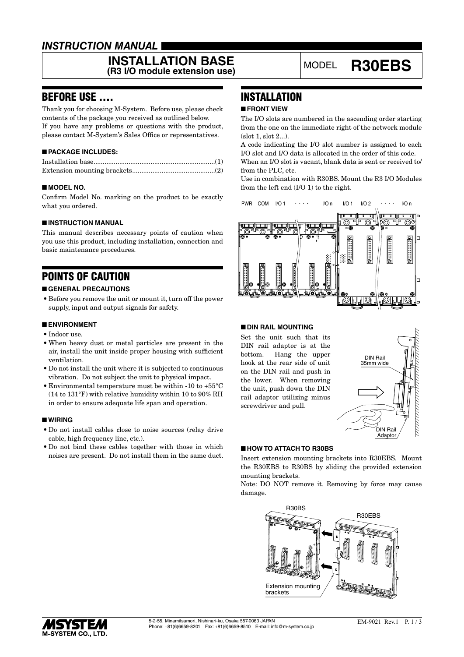## *INSTRUCTION MANUAL*

# **INSTALLATION BASE**<br>(R3 I/O module extension use) MODEL R30EBS

## BEFORE USE ....

Thank you for choosing M-System. Before use, please check contents of the package you received as outlined below. If you have any problems or questions with the product, please contact M-System's Sales Office or representatives.

#### ■ **PACKAGE INCLUDES:**

#### ■ **MODEL NO.**

Confirm Model No. marking on the product to be exactly what you ordered.

#### ■ **INSTRUCTION MANUAL**

This manual describes necessary points of caution when you use this product, including installation, connection and basic maintenance procedures.

# POINTS OF CAUTION

#### ■ **GENERAL PRECAUTIONS**

• Before you remove the unit or mount it, turn off the power supply, input and output signals for safety.

#### ■ **ENVIRONMENT**

- • Indoor use.
- • When heavy dust or metal particles are present in the air, install the unit inside proper housing with sufficient ventilation.
- • Do not install the unit where it is subjected to continuous vibration. Do not subject the unit to physical impact.
- Environmental temperature must be within -10 to  $+55^{\circ}$ C (14 to 131°F) with relative humidity within 10 to 90% RH in order to ensure adequate life span and operation.

#### ■ **WIRING**

- • Do not install cables close to noise sources (relay drive cable, high frequency line, etc.).
- Do not bind these cables together with those in which noises are present. Do not install them in the same duct.

# **INSTALLATION**

#### ■ **FRONT VIEW**

The I/O slots are numbered in the ascending order starting from the one on the immediate right of the network module (slot 1, slot 2...).

A code indicating the I/O slot number is assigned to each I/O slot and I/O data is allocated in the order of this code.

When an I/O slot is vacant, blank data is sent or received to/ from the PLC, etc.

Use in combination with R30BS. Mount the R3 I/O Modules from the left end (I/O 1) to the right.



#### ■ **DIN RAIL MOUNTING**

Set the unit such that its DIN rail adaptor is at the bottom. Hang the upper hook at the rear side of unit on the DIN rail and push in the lower. When removing the unit, push down the DIN rail adaptor utilizing minus screwdriver and pull.



#### ■ **HOW TO ATTACH TO R30BS**

Insert extension mounting brackets into R30EBS. Mount the R30EBS to R30BS by sliding the provided extension mounting brackets.

Note: DO NOT remove it. Removing by force may cause damage.



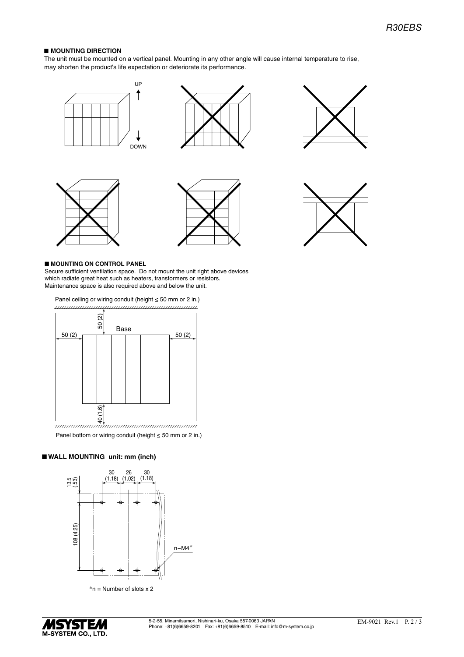#### ■ MOUNTING DIRECTION

The unit must be mounted on a vertical panel. Mounting in any other angle will cause internal temperature to rise, may shorten the product's life expectation or deteriorate its performance.













#### ■ **MOUNTING ON CONTROL PANEL**

Secure sufficient ventilation space. Do not mount the unit right above devices which radiate great heat such as heaters, transformers or resistors. Maintenance space is also required above and below the unit.

Panel ceiling or wiring conduit (height ≤ 50 mm or 2 in.) 



Panel bottom or wiring conduit (height ≤ 50 mm or 2 in.)

#### ■ **WALL MOUNTING** unit: mm (inch)